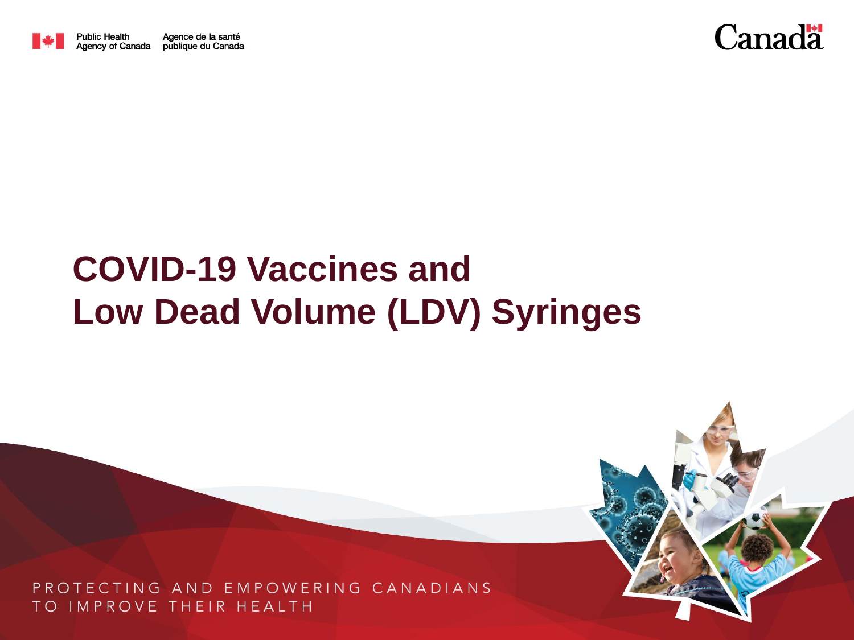



# **COVID-19 Vaccines and Low Dead Volume (LDV) Syringes**

PROTECTING AND EMPOWERING CANADIANS TO IMPROVE THEIR HEALTH

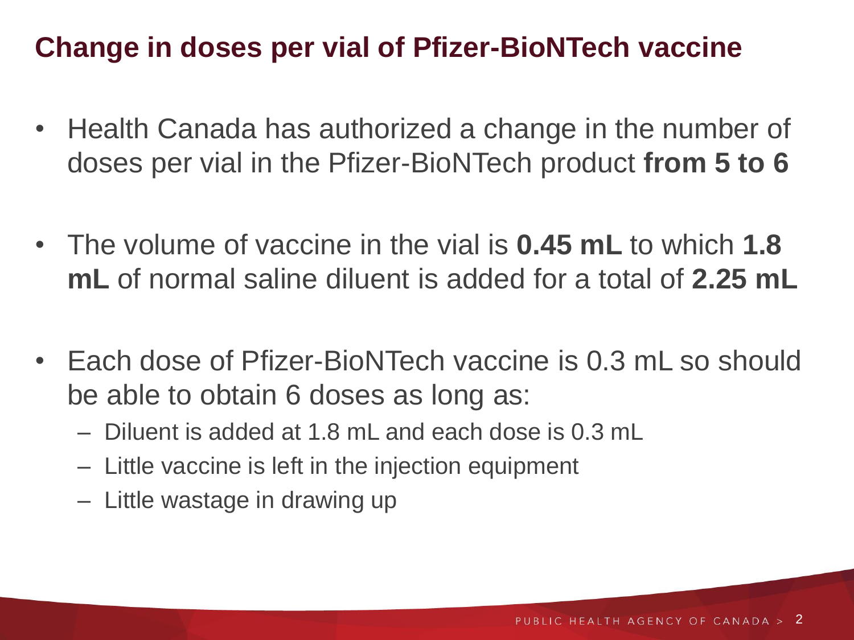### **Change in doses per vial of Pfizer-BioNTech vaccine**

- Health Canada has authorized a change in the number of doses per vial in the Pfizer-BioNTech product **from 5 to 6**
- The volume of vaccine in the vial is **0.45 mL** to which **1.8 mL** of normal saline diluent is added for a total of **2.25 mL**
- Each dose of Pfizer-BioNTech vaccine is 0.3 mL so should be able to obtain 6 doses as long as:
	- Diluent is added at 1.8 mL and each dose is 0.3 mL
	- Little vaccine is left in the injection equipment
	- Little wastage in drawing up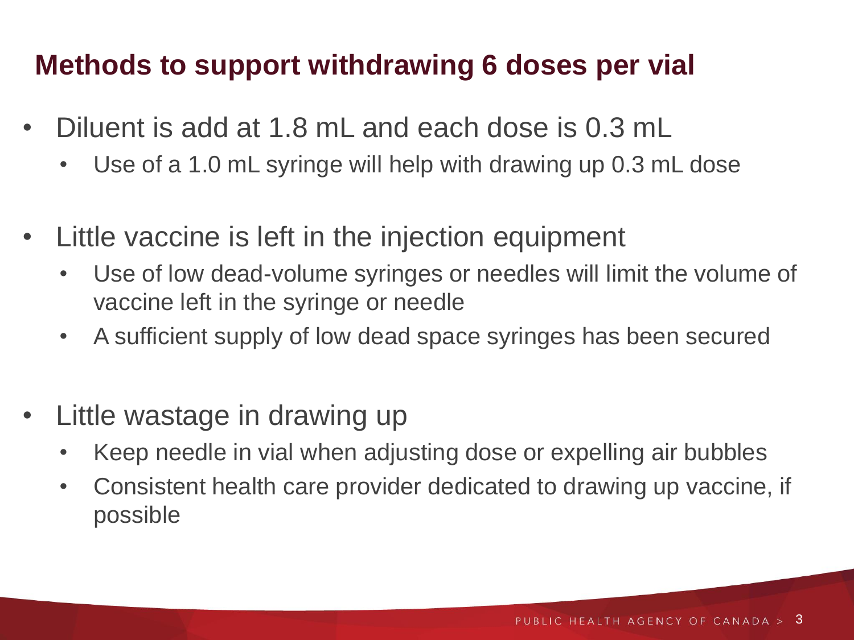#### **Methods to support withdrawing 6 doses per vial**

- Diluent is add at 1.8 mL and each dose is 0.3 mL
	- Use of a 1.0 mL syringe will help with drawing up 0.3 mL dose
- Little vaccine is left in the injection equipment
	- Use of low dead-volume syringes or needles will limit the volume of vaccine left in the syringe or needle
	- A sufficient supply of low dead space syringes has been secured
- Little wastage in drawing up
	- Keep needle in vial when adjusting dose or expelling air bubbles
	- Consistent health care provider dedicated to drawing up vaccine, if possible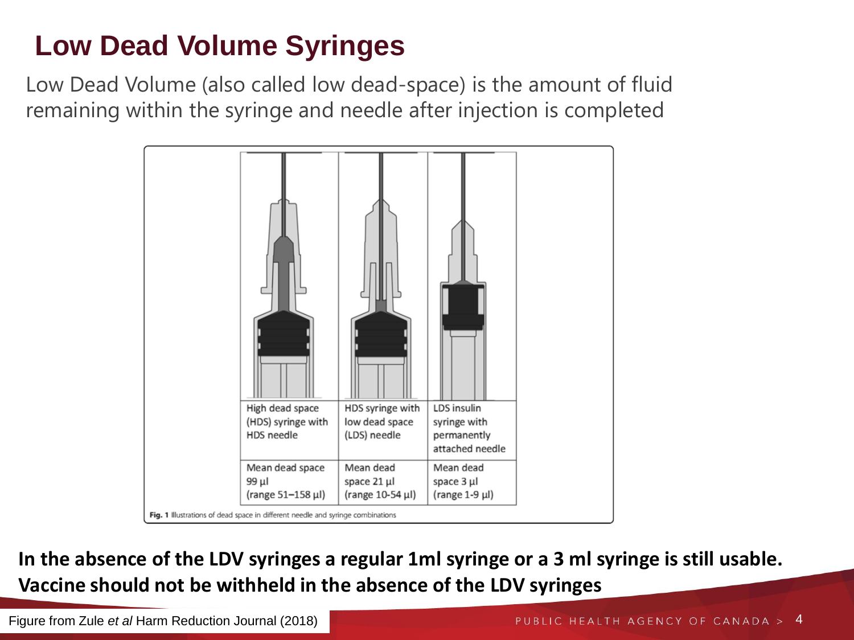## **Low Dead Volume Syringes**

Low Dead Volume (also called low dead-space) is the amount of fluid remaining within the syringe and needle after injection is completed



**In the absence of the LDV syringes a regular 1ml syringe or a 3 ml syringe is still usable. Vaccine should not be withheld in the absence of the LDV syringes**

Figure from Zule *et al* Harm Reduction Journal (2018)